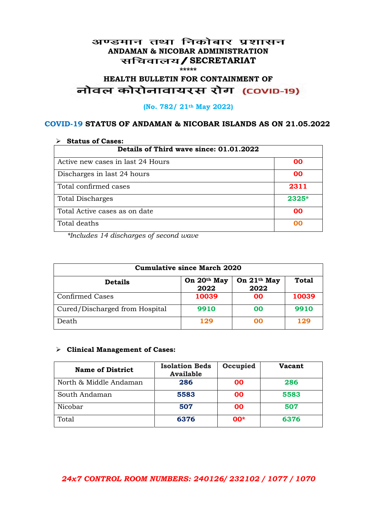## अण्डमान तथा निकोबार प्रशासन **ANDAMAN & NICOBAR ADMINISTRATION /SECRETARIAT \*\*\*\*\***

# HEALTH BULLETIN FOR CONTAINMENT OF<br>बोवल कोरोनावायरस रोग (COVID-19)

## **(No. 782/ 21th May 2022)**

## **COVID-19 STATUS OF ANDAMAN & NICOBAR ISLANDS AS ON 21.05.2022**

| <b>Status of Cases:</b>                 |           |  |
|-----------------------------------------|-----------|--|
| Details of Third wave since: 01.01.2022 |           |  |
| Active new cases in last 24 Hours       | 00        |  |
| Discharges in last 24 hours             | 00        |  |
| Total confirmed cases                   | 2311      |  |
| <b>Total Discharges</b>                 | $2325*$   |  |
| Total Active cases as on date           | <b>OO</b> |  |
| Total deaths                            | OO        |  |

*\*Includes 14 discharges of second wave*

| <b>Cumulative since March 2020</b> |                     |                                 |              |
|------------------------------------|---------------------|---------------------------------|--------------|
| <b>Details</b>                     | On 20th May<br>2022 | On 21 <sup>th</sup> May<br>2022 | <b>Total</b> |
| <b>Confirmed Cases</b>             | 10039               | 00                              | 10039        |
| Cured/Discharged from Hospital     | 9910                | 00                              | 9910         |
| Death                              | 129                 | ററ                              | 129          |

#### **Clinical Management of Cases:**

| <b>Name of District</b> | <b>Isolation Beds</b><br><b>Available</b> | Occupied | <b>Vacant</b> |
|-------------------------|-------------------------------------------|----------|---------------|
| North & Middle Andaman  | 286                                       | 00       | 286           |
| South Andaman           | 5583                                      | 00       | 5583          |
| Nicobar                 | 507                                       | 00       | 507           |
| Total                   | 6376                                      | $00*$    | 6376          |

## *24x7 CONTROL ROOM NUMBERS: 240126/ 232102 / 1077 / 1070*